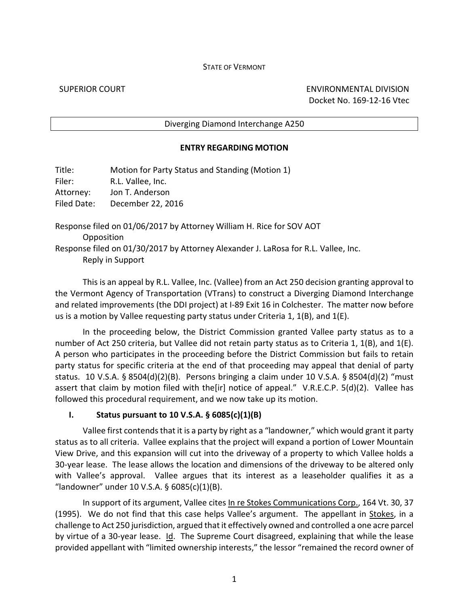### STATE OF VERMONT

SUPERIOR COURT ENVIRONMENTAL DIVISION Docket No. 169-12-16 Vtec

### Diverging Diamond Interchange A250

### **ENTRY REGARDING MOTION**

| Title:             | Motion for Party Status and Standing (Motion 1)                                    |
|--------------------|------------------------------------------------------------------------------------|
| Filer:             | R.L. Vallee, Inc.                                                                  |
| Attorney:          | Jon T. Anderson                                                                    |
| <b>Filed Date:</b> | December 22, 2016                                                                  |
|                    | Response filed on 01/06/2017 by Attorney William H. Rice for SOV AOT               |
|                    | Opposition                                                                         |
|                    | Response filed on 01/30/2017 by Attorney Alexander J. LaRosa for R.L. Vallee, Inc. |

Reply in Support

This is an appeal by R.L. Vallee, Inc. (Vallee) from an Act 250 decision granting approval to the Vermont Agency of Transportation (VTrans) to construct a Diverging Diamond Interchange and related improvements (the DDI project) at I-89 Exit 16 in Colchester. The matter now before us is a motion by Vallee requesting party status under Criteria 1, 1(B), and 1(E).

In the proceeding below, the District Commission granted Vallee party status as to a number of Act 250 criteria, but Vallee did not retain party status as to Criteria 1, 1(B), and 1(E). A person who participates in the proceeding before the District Commission but fails to retain party status for specific criteria at the end of that proceeding may appeal that denial of party status. 10 V.S.A. § 8504(d)(2)(B). Persons bringing a claim under 10 V.S.A. § 8504(d)(2) "must assert that claim by motion filed with the[ir] notice of appeal." V.R.E.C.P. 5(d)(2). Vallee has followed this procedural requirement, and we now take up its motion.

### **I. Status pursuant to 10 V.S.A. § 6085(c)(1)(B)**

Vallee first contends that it is a party by right as a "landowner," which would grant it party status as to all criteria. Vallee explains that the project will expand a portion of Lower Mountain View Drive, and this expansion will cut into the driveway of a property to which Vallee holds a 30-year lease. The lease allows the location and dimensions of the driveway to be altered only with Vallee's approval. Vallee argues that its interest as a leaseholder qualifies it as a "landowner" under 10 V.S.A. § 6085(c)(1)(B).

In support of its argument, Vallee cites In re Stokes Communications Corp., 164 Vt. 30, 37 (1995). We do not find that this case helps Vallee's argument. The appellant in Stokes, in a challenge to Act 250 jurisdiction, argued that it effectively owned and controlled a one acre parcel by virtue of a 30-year lease. Id. The Supreme Court disagreed, explaining that while the lease provided appellant with "limited ownership interests," the lessor "remained the record owner of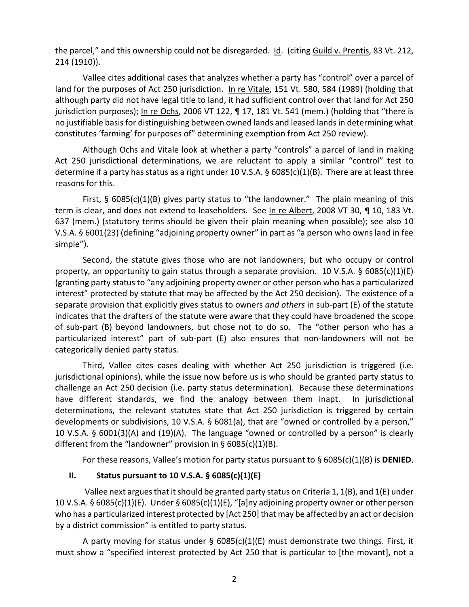the parcel," and this ownership could not be disregarded. Id. (citing Guild v. Prentis, 83 Vt. 212, 214 (1910)).

Vallee cites additional cases that analyzes whether a party has "control" over a parcel of land for the purposes of Act 250 jurisdiction. In re Vitale, 151 Vt. 580, 584 (1989) (holding that although party did not have legal title to land, it had sufficient control over that land for Act 250 jurisdiction purposes); In re Ochs, 2006 VT 122,  $\P$  17, 181 Vt. 541 (mem.) (holding that "there is no justifiable basis for distinguishing between owned lands and leased lands in determining what constitutes 'farming' for purposes of" determining exemption from Act 250 review).

Although Ochs and Vitale look at whether a party "controls" a parcel of land in making Act 250 jurisdictional determinations, we are reluctant to apply a similar "control" test to determine if a party has status as a right under 10 V.S.A. § 6085(c)(1)(B). There are at least three reasons for this.

First,  $\S$  6085(c)(1)(B) gives party status to "the landowner." The plain meaning of this term is clear, and does not extend to leaseholders. See In re Albert, 2008 VT 30, 110, 183 Vt. 637 (mem.) (statutory terms should be given their plain meaning when possible); see also 10 V.S.A. § 6001(23) (defining "adjoining property owner" in part as "a person who owns land in fee simple").

Second, the statute gives those who are not landowners, but who occupy or control property, an opportunity to gain status through a separate provision. 10 V.S.A. § 6085(c)(1)(E) (granting party status to "any adjoining property owner or other person who has a particularized interest" protected by statute that may be affected by the Act 250 decision). The existence of a separate provision that explicitly gives status to owners *and others* in sub-part (E) of the statute indicates that the drafters of the statute were aware that they could have broadened the scope of sub-part (B) beyond landowners, but chose not to do so. The "other person who has a particularized interest" part of sub-part (E) also ensures that non-landowners will not be categorically denied party status.

Third, Vallee cites cases dealing with whether Act 250 jurisdiction is triggered (i.e. jurisdictional opinions), while the issue now before us is who should be granted party status to challenge an Act 250 decision (i.e. party status determination). Because these determinations have different standards, we find the analogy between them inapt. In jurisdictional determinations, the relevant statutes state that Act 250 jurisdiction is triggered by certain developments or subdivisions, 10 V.S.A. § 6081(a), that are "owned or controlled by a person," 10 V.S.A. § 6001(3)(A) and (19)(A). The language "owned or controlled by a person" is clearly different from the "landowner" provision in §  $6085(c)(1)(B)$ .

For these reasons, Vallee's motion for party status pursuant to § 6085(c)(1)(B) is **DENIED**.

# **II. Status pursuant to 10 V.S.A. § 6085(c)(1)(E)**

Vallee next argues that it should be granted party status on Criteria 1,  $1(B)$ , and  $1(E)$  under 10 V.S.A. § 6085(c)(1)(E). Under § 6085(c)(1)(E), "[a]ny adjoining property owner or other person who has a particularized interest protected by [Act 250] that may be affected by an act or decision by a district commission" is entitled to party status.

A party moving for status under §  $6085(c)(1)(E)$  must demonstrate two things. First, it must show a "specified interest protected by Act 250 that is particular to [the movant], not a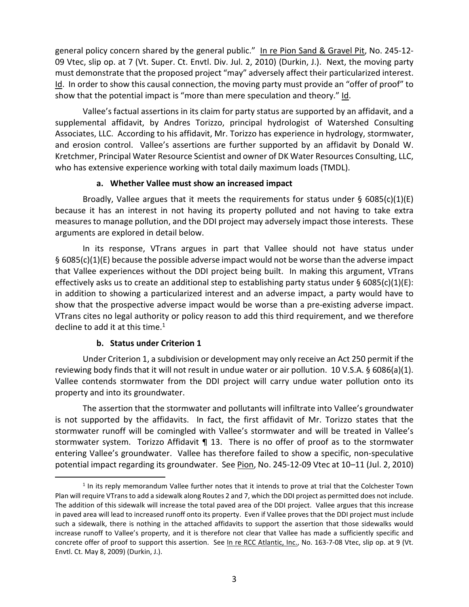general policy concern shared by the general public." In re Pion Sand & Gravel Pit, No. 245-12- 09 Vtec, slip op. at 7 (Vt. Super. Ct. Envtl. Div. Jul. 2, 2010) (Durkin, J.). Next, the moving party must demonstrate that the proposed project "may" adversely affect their particularized interest. Id. In order to show this causal connection, the moving party must provide an "offer of proof" to show that the potential impact is "more than mere speculation and theory." Id.

Vallee's factual assertions in its claim for party status are supported by an affidavit, and a supplemental affidavit, by Andres Torizzo, principal hydrologist of Watershed Consulting Associates, LLC. According to his affidavit, Mr. Torizzo has experience in hydrology, stormwater, and erosion control. Vallee's assertions are further supported by an affidavit by Donald W. Kretchmer, Principal Water Resource Scientist and owner of DK Water Resources Consulting, LLC, who has extensive experience working with total daily maximum loads (TMDL).

### **a. Whether Vallee must show an increased impact**

Broadly, Vallee argues that it meets the requirements for status under  $\S$  6085(c)(1)(E) because it has an interest in not having its property polluted and not having to take extra measures to manage pollution, and the DDI project may adversely impact those interests. These arguments are explored in detail below.

In its response, VTrans argues in part that Vallee should not have status under § 6085(c)(1)(E) because the possible adverse impact would not be worse than the adverse impact that Vallee experiences without the DDI project being built. In making this argument, VTrans effectively asks us to create an additional step to establishing party status under § 6085(c)(1)(E): in addition to showing a particularized interest and an adverse impact, a party would have to show that the prospective adverse impact would be worse than a pre-existing adverse impact. VTrans cites no legal authority or policy reason to add this third requirement, and we therefore decline to add it at this time.<sup>1</sup>

# **b. Status under Criterion 1**

1

Under Criterion 1, a subdivision or development may only receive an Act 250 permit if the reviewing body finds that it will not result in undue water or air pollution. 10 V.S.A. § 6086(a)(1). Vallee contends stormwater from the DDI project will carry undue water pollution onto its property and into its groundwater.

The assertion that the stormwater and pollutants will infiltrate into Vallee's groundwater is not supported by the affidavits. In fact, the first affidavit of Mr. Torizzo states that the stormwater runoff will be comingled with Vallee's stormwater and will be treated in Vallee's stormwater system. Torizzo Affidavit | 13. There is no offer of proof as to the stormwater entering Vallee's groundwater. Vallee has therefore failed to show a specific, non-speculative potential impact regarding its groundwater. See Pion, No. 245-12-09 Vtec at 10–11 (Jul. 2, 2010)

 $<sup>1</sup>$  In its reply memorandum Vallee further notes that it intends to prove at trial that the Colchester Town</sup> Plan will require VTrans to add a sidewalk along Routes 2 and 7, which the DDI project as permitted does not include. The addition of this sidewalk will increase the total paved area of the DDI project. Vallee argues that this increase in paved area will lead to increased runoff onto its property. Even if Vallee proves that the DDI project must include such a sidewalk, there is nothing in the attached affidavits to support the assertion that those sidewalks would increase runoff to Vallee's property, and it is therefore not clear that Vallee has made a sufficiently specific and concrete offer of proof to support this assertion. See In re RCC Atlantic, Inc., No. 163-7-08 Vtec, slip op. at 9 (Vt. Envtl. Ct. May 8, 2009) (Durkin, J.).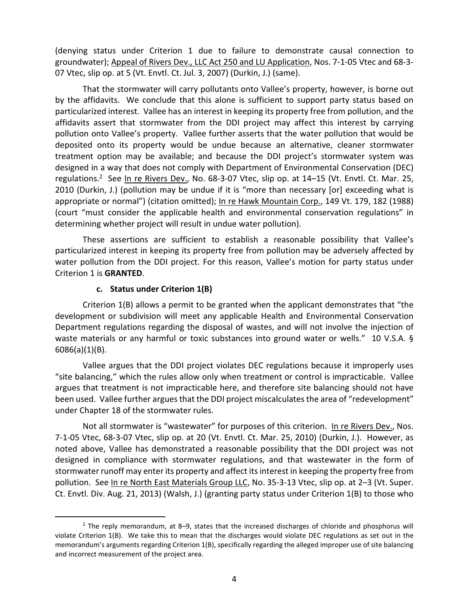(denying status under Criterion 1 due to failure to demonstrate causal connection to groundwater); Appeal of Rivers Dev., LLC Act 250 and LU Application, Nos. 7-1-05 Vtec and 68-3- 07 Vtec, slip op. at 5 (Vt. Envtl. Ct. Jul. 3, 2007) (Durkin, J.) (same).

That the stormwater will carry pollutants onto Vallee's property, however, is borne out by the affidavits. We conclude that this alone is sufficient to support party status based on particularized interest. Vallee has an interest in keeping its property free from pollution, and the affidavits assert that stormwater from the DDI project may affect this interest by carrying pollution onto Vallee's property. Vallee further asserts that the water pollution that would be deposited onto its property would be undue because an alternative, cleaner stormwater treatment option may be available; and because the DDI project's stormwater system was designed in a way that does not comply with Department of Environmental Conservation (DEC) regulations.<sup>2</sup> See In re Rivers Dev., No. 68-3-07 Vtec, slip op. at 14-15 (Vt. Envtl. Ct. Mar. 25, 2010 (Durkin, J.) (pollution may be undue if it is "more than necessary [or] exceeding what is appropriate or normal") (citation omitted); In re Hawk Mountain Corp., 149 Vt. 179, 182 (1988) (court "must consider the applicable health and environmental conservation regulations" in determining whether project will result in undue water pollution).

These assertions are sufficient to establish a reasonable possibility that Vallee's particularized interest in keeping its property free from pollution may be adversely affected by water pollution from the DDI project. For this reason, Vallee's motion for party status under Criterion 1 is **GRANTED**.

### **c. Status under Criterion 1(B)**

.

Criterion 1(B) allows a permit to be granted when the applicant demonstrates that "the development or subdivision will meet any applicable Health and Environmental Conservation Department regulations regarding the disposal of wastes, and will not involve the injection of waste materials or any harmful or toxic substances into ground water or wells." 10 V.S.A. § 6086(a)(1)(B).

Vallee argues that the DDI project violates DEC regulations because it improperly uses "site balancing," which the rules allow only when treatment or control is impracticable. Vallee argues that treatment is not impracticable here, and therefore site balancing should not have been used. Vallee further argues that the DDI project miscalculates the area of "redevelopment" under Chapter 18 of the stormwater rules.

Not all stormwater is "wastewater" for purposes of this criterion. In re Rivers Dev., Nos. 7-1-05 Vtec, 68-3-07 Vtec, slip op. at 20 (Vt. Envtl. Ct. Mar. 25, 2010) (Durkin, J.). However, as noted above, Vallee has demonstrated a reasonable possibility that the DDI project was not designed in compliance with stormwater regulations, and that wastewater in the form of stormwater runoff may enter its property and affect its interest in keeping the property free from pollution. See In re North East Materials Group LLC, No. 35-3-13 Vtec, slip op. at 2–3 (Vt. Super. Ct. Envtl. Div. Aug. 21, 2013) (Walsh, J.) (granting party status under Criterion 1(B) to those who

<sup>&</sup>lt;sup>2</sup> The reply memorandum, at 8–9, states that the increased discharges of chloride and phosphorus will violate Criterion 1(B). We take this to mean that the discharges would violate DEC regulations as set out in the memorandum's arguments regarding Criterion 1(B), specifically regarding the alleged improper use of site balancing and incorrect measurement of the project area.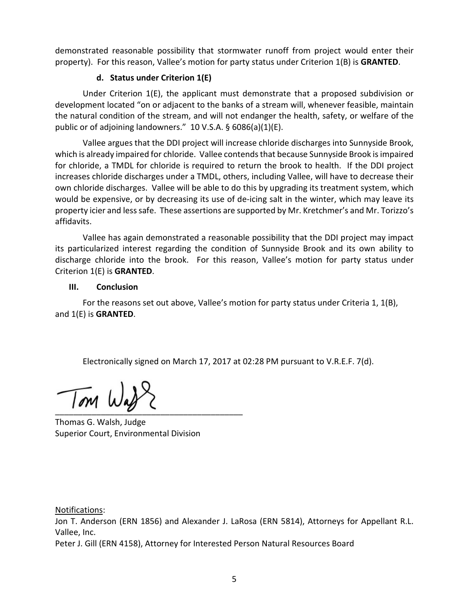demonstrated reasonable possibility that stormwater runoff from project would enter their property). For this reason, Vallee's motion for party status under Criterion 1(B) is **GRANTED**.

# **d. Status under Criterion 1(E)**

Under Criterion 1(E), the applicant must demonstrate that a proposed subdivision or development located "on or adjacent to the banks of a stream will, whenever feasible, maintain the natural condition of the stream, and will not endanger the health, safety, or welfare of the public or of adjoining landowners." 10 V.S.A. § 6086(a)(1)(E).

Vallee argues that the DDI project will increase chloride discharges into Sunnyside Brook, which is already impaired for chloride. Vallee contends that because Sunnyside Brook is impaired for chloride, a TMDL for chloride is required to return the brook to health. If the DDI project increases chloride discharges under a TMDL, others, including Vallee, will have to decrease their own chloride discharges. Vallee will be able to do this by upgrading its treatment system, which would be expensive, or by decreasing its use of de-icing salt in the winter, which may leave its property icier and less safe. These assertions are supported by Mr. Kretchmer's and Mr. Torizzo's affidavits.

Vallee has again demonstrated a reasonable possibility that the DDI project may impact its particularized interest regarding the condition of Sunnyside Brook and its own ability to discharge chloride into the brook. For this reason, Vallee's motion for party status under Criterion 1(E) is **GRANTED**.

# **III. Conclusion**

For the reasons set out above, Vallee's motion for party status under Criteria 1, 1(B), and 1(E) is **GRANTED**.

Electronically signed on March 17, 2017 at 02:28 PM pursuant to V.R.E.F. 7(d).

 $\overline{Im}$  W.

Thomas G. Walsh, Judge Superior Court, Environmental Division

Notifications:

Jon T. Anderson (ERN 1856) and Alexander J. LaRosa (ERN 5814), Attorneys for Appellant R.L. Vallee, Inc.

Peter J. Gill (ERN 4158), Attorney for Interested Person Natural Resources Board